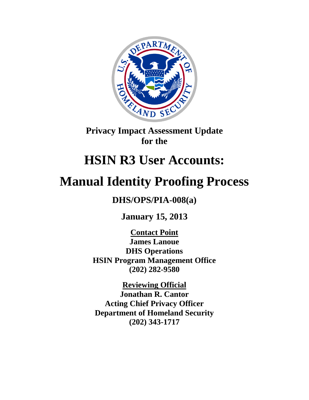

**Privacy Impact Assessment Update for the**

# **HSIN R3 User Accounts:**

# **Manual Identity Proofing Process**

**DHS/OPS/PIA-008(a)**

**January 15, 2013**

**Contact Point James Lanoue DHS Operations HSIN Program Management Office (202) 282-9580**

**Reviewing Official Jonathan R. Cantor Acting Chief Privacy Officer Department of Homeland Security (202) 343-1717**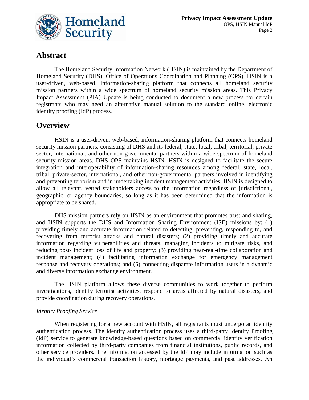

# **Abstract**

The Homeland Security Information Network (HSIN) is maintained by the Department of Homeland Security (DHS), Office of Operations Coordination and Planning (OPS). HSIN is a user-driven, web-based, information-sharing platform that connects all homeland security mission partners within a wide spectrum of homeland security mission areas. This Privacy Impact Assessment (PIA) Update is being conducted to document a new process for certain registrants who may need an alternative manual solution to the standard online, electronic identity proofing (IdP) process.

## **Overview**

HSIN is a user-driven, web-based, information-sharing platform that connects homeland security mission partners, consisting of DHS and its federal, state, local, tribal, territorial, private sector, international, and other non-governmental partners within a wide spectrum of homeland security mission areas. DHS OPS maintains HSIN. HSIN is designed to facilitate the secure integration and interoperability of information-sharing resources among federal, state, local, tribal, private-sector, international, and other non-governmental partners involved in identifying and preventing terrorism and in undertaking incident management activities. HSIN is designed to allow all relevant, vetted stakeholders access to the information regardless of jurisdictional, geographic, or agency boundaries, so long as it has been determined that the information is appropriate to be shared.

DHS mission partners rely on HSIN as an environment that promotes trust and sharing, and HSIN supports the DHS and Information Sharing Environment (ISE) missions by: (1) providing timely and accurate information related to detecting, preventing, responding to, and recovering from terrorist attacks and natural disasters; (2) providing timely and accurate information regarding vulnerabilities and threats, managing incidents to mitigate risks, and reducing post- incident loss of life and property; (3) providing near-real-time collaboration and incident management; (4) facilitating information exchange for emergency management response and recovery operations; and (5) connecting disparate information users in a dynamic and diverse information exchange environment.

The HSIN platform allows these diverse communities to work together to perform investigations, identify terrorist activities, respond to areas affected by natural disasters, and provide coordination during recovery operations.

## *Identity Proofing Service*

When registering for a new account with HSIN, all registrants must undergo an identity authentication process. The identity authentication process uses a third-party Identity Proofing (IdP) service to generate knowledge-based questions based on commercial identity verification information collected by third-party companies from financial institutions, public records, and other service providers. The information accessed by the IdP may include information such as the individual's commercial transaction history, mortgage payments, and past addresses. An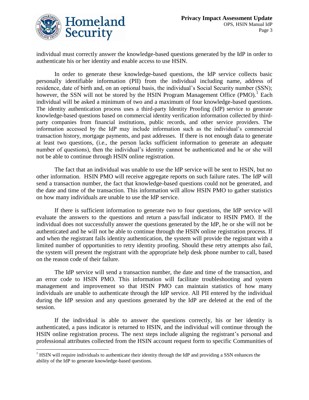

individual must correctly answer the knowledge-based questions generated by the IdP in order to authenticate his or her identity and enable access to use HSIN.

In order to generate these knowledge-based questions, the IdP service collects basic personally identifiable information (PII) from the individual including name, address of residence, date of birth and, on an optional basis, the individual's Social Security number (SSN); however, the SSN will not be stored by the HSIN Program Management Office  $(PMO)<sup>1</sup>$  Each individual will be asked a minimum of two and a maximum of four knowledge-based questions. The identity authentication process uses a third-party Identity Proofing (IdP) service to generate knowledge-based questions based on commercial identity verification information collected by thirdparty companies from financial institutions, public records, and other service providers. The information accessed by the IdP may include information such as the individual's commercial transaction history, mortgage payments, and past addresses. If there is not enough data to generate at least two questions, (i.e., the person lacks sufficient information to generate an adequate number of questions), then the individual's identity cannot be authenticated and he or she will not be able to continue through HSIN online registration.

The fact that an individual was unable to use the IdP service will be sent to HSIN, but no other information. HSIN PMO will receive aggregate reports on such failure rates. The IdP will send a transaction number, the fact that knowledge-based questions could not be generated, and the date and time of the transaction. This information will allow HSIN PMO to gather statistics on how many individuals are unable to use the IdP service.

If there is sufficient information to generate two to four questions, the IdP service will evaluate the answers to the questions and return a pass/fail indicator to HSIN PMO. If the individual does not successfully answer the questions generated by the IdP, he or she will not be authenticated and he will not be able to continue through the HSIN online registration process. If and when the registrant fails identity authentication, the system will provide the registrant with a limited number of opportunities to retry identity proofing. Should these retry attempts also fail, the system will present the registrant with the appropriate help desk phone number to call, based on the reason code of their failure.

The IdP service will send a transaction number, the date and time of the transaction, and an error code to HSIN PMO. This information will facilitate troubleshooting and system management and improvement so that HSIN PMO can maintain statistics of how many individuals are unable to authenticate through the IdP service. All PII entered by the individual during the IdP session and any questions generated by the IdP are deleted at the end of the session.

If the individual is able to answer the questions correctly, his or her identity is authenticated, a pass indicator is returned to HSIN, and the individual will continue through the HSIN online registration process. The next steps include aligning the registrant's personal and professional attributes collected from the HSIN account request form to specific Communities of

<sup>1</sup>  $<sup>1</sup>$  HSIN will require individuals to authenticate their identity through the IdP and providing a SSN enhances the</sup> ability of the IdP to generate knowledge-based questions.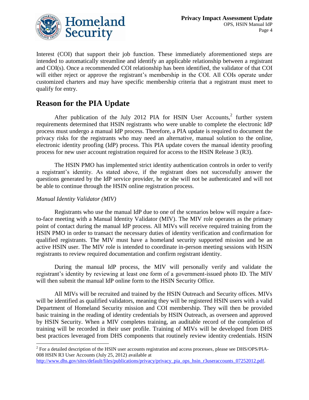

Interest (COI) that support their job function. These immediately aforementioned steps are intended to automatically streamline and identify an applicable relationship between a registrant and COI(s). Once a recommended COI relationship has been identified, the validator of that COI will either reject or approve the registrant's membership in the COI. All COIs operate under customized charters and may have specific membership criteria that a registrant must meet to qualify for entry.

# **Reason for the PIA Update**

After publication of the July 2012 PIA for HSIN User Accounts, $2$  further system requirements determined that HSIN registrants who were unable to complete the electronic IdP process must undergo a manual IdP process. Therefore, a PIA update is required to document the privacy risks for the registrants who may need an alternative, manual solution to the online, electronic identity proofing (IdP) process. This PIA update covers the manual identity proofing process for new user account registration required for access to the HSIN Release 3 (R3).

The HSIN PMO has implemented strict identity authentication controls in order to verify a registrant's identity. As stated above, if the registrant does not successfully answer the questions generated by the IdP service provider, he or she will not be authenticated and will not be able to continue through the HSIN online registration process.

## *Manual Identity Validator (MIV)*

Registrants who use the manual IdP due to one of the scenarios below will require a faceto-face meeting with a Manual Identity Validator (MIV). The MIV role operates as the primary point of contact during the manual IdP process. All MIVs will receive required training from the HSIN PMO in order to transact the necessary duties of identity verification and confirmation for qualified registrants. The MIV must have a homeland security supported mission and be an active HSIN user. The MIV role is intended to coordinate in-person meeting sessions with HSIN registrants to review required documentation and confirm registrant identity.

During the manual IdP process, the MIV will personally verify and validate the registrant's identity by reviewing at least one form of a government-issued photo ID. The MIV will then submit the manual IdP online form to the HSIN Security Office.

All MIVs will be recruited and trained by the HSIN Outreach and Security offices. MIVs will be identified as qualified validators, meaning they will be registered HSIN users with a valid Department of Homeland Security mission and COI membership. They will then be provided basic training in the reading of identity credentials by HSIN Outreach, as overseen and approved by HSIN Security. When a MIV completes training, an auditable record of the completion of training will be recorded in their user profile. Training of MIVs will be developed from DHS best practices leveraged from DHS components that routinely review identity credentials. HSIN

 $\overline{a}$  $2^2$  For a detailed description of the HSIN user accounts registration and access processes, please see DHS/OPS/PIA-008 HSIN R3 User Accounts (July 25, 2012) available at

[http://www.dhs.gov/sites/default/files/publications/privacy/privacy\\_pia\\_ops\\_hsin\\_r3useraccounts\\_07252012.pdf.](http://www.dhs.gov/sites/default/files/publications/privacy/privacy_pia_ops_hsin_r3useraccounts_07252012.pdf)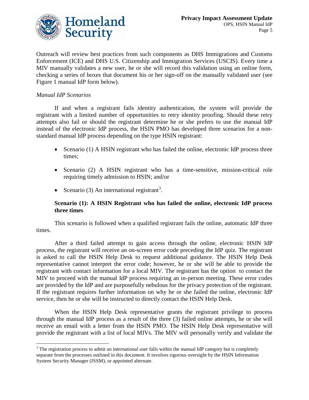

Outreach will review best practices from such components as DHS Immigrations and Customs Enforcement (ICE) and DHS U.S. Citizenship and Immigration Services (USCIS). Every time a MIV manually validates a new user, he or she will record this validation using an online form, checking a series of boxes that document his or her sign-off on the manually validated user (see Figure 1 manual IdP form below).

## *Manual IdP Scenarios*

If and when a registrant fails identity authentication, the system will provide the registrant with a limited number of opportunities to retry identity proofing. Should these retry attempts also fail or should the registrant determine he or she prefers to use the manual IdP instead of the electronic IdP process, the HSIN PMO has developed three scenarios for a nonstandard manual IdP process depending on the type HSIN registrant:

- Scenario (1) A HSIN registrant who has failed the online, electronic IdP process three times;
- Scenario (2) A HSIN registrant who has a time-sensitive, mission-critical role requiring timely admission to HSIN; and/or
- Scenario (3) An international registrant<sup>3</sup>.

## **Scenario (1): A HSIN Registrant who has failed the online, electronic IdP process three times**

This scenario is followed when a qualified registrant fails the online, automatic IdP three times.

After a third failed attempt to gain access through the online, electronic HSIN IdP process, the registrant will receive an on-screen error code preceding the IdP quiz. The registrant is asked to call the HSIN Help Desk to request additional guidance. The HSIN Help Desk representative cannot interpret the error code; however, he or she will be able to provide the registrant with contact information for a local MIV. The registrant has the option to contact the MIV to proceed with the manual IdP process requiring an in-person meeting. These error codes are provided by the IdP and are purposefully nebulous for the privacy protection of the registrant. If the registrant requires further information on why he or she failed the online, electronic IdP service, then he or she will be instructed to directly contact the HSIN Help Desk.

When the HSIN Help Desk representative grants the registrant privilege to process through the manual IdP process as a result of the three (3) failed online attempts, he or she will receive an email with a letter from the HSIN PMO. The HSIN Help Desk representative will provide the registrant with a list of local MIVs. The MIV will personally verify and validate the

 $\overline{a}$  $3$  The registration process to admit an international user falls within the manual IdP category but is completely separate from the processes outlined in this document. It involves rigorous oversight by the HSIN Information System Security Manager (ISSM), or appointed alternate.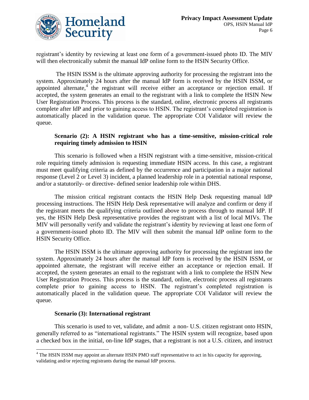

registrant's identity by reviewing at least one form of a government-issued photo ID. The MIV will then electronically submit the manual IdP online form to the HSIN Security Office.

The HSIN ISSM is the ultimate approving authority for processing the registrant into the system. Approximately 24 hours after the manual IdP form is received by the HSIN ISSM, or appointed alternate,<sup>4</sup> the registrant will receive either an acceptance or rejection email. If accepted, the system generates an email to the registrant with a link to complete the HSIN New User Registration Process. This process is the standard, online, electronic process all registrants complete after IdP and prior to gaining access to HSIN. The registrant's completed registration is automatically placed in the validation queue. The appropriate COI Validator will review the queue.

## **Scenario (2): A HSIN registrant who has a time-sensitive, mission-critical role requiring timely admission to HSIN**

This scenario is followed when a HSIN registrant with a time-sensitive, mission-critical role requiring timely admission is requesting immediate HSIN access. In this case, a registrant must meet qualifying criteria as defined by the occurrence and participation in a major national response (Level 2 or Level 3) incident, a planned leadership role in a potential national response, and/or a statutorily- or directive- defined senior leadership role within DHS.

The mission critical registrant contacts the HSIN Help Desk requesting manual IdP processing instructions. The HSIN Help Desk representative will analyze and confirm or deny if the registrant meets the qualifying criteria outlined above to process through to manual IdP. If yes, the HSIN Help Desk representative provides the registrant with a list of local MIVs. The MIV will personally verify and validate the registrant's identity by reviewing at least one form of a government-issued photo ID. The MIV will then submit the manual IdP online form to the HSIN Security Office.

The HSIN ISSM is the ultimate approving authority for processing the registrant into the system. Approximately 24 hours after the manual IdP form is received by the HSIN ISSM, or appointed alternate, the registrant will receive either an acceptance or rejection email. If accepted, the system generates an email to the registrant with a link to complete the HSIN New User Registration Process. This process is the standard, online, electronic process all registrants complete prior to gaining access to HSIN. The registrant's completed registration is automatically placed in the validation queue. The appropriate COI Validator will review the queue.

## **Scenario (3): International registrant**

This scenario is used to vet, validate, and admit a non- U.S. citizen registrant onto HSIN, generally referred to as "international registrants." The HSIN system will recognize, based upon a checked box in the initial, on-line IdP stages, that a registrant is not a U.S. citizen, and instruct

<sup>1</sup> <sup>4</sup> The HSIN ISSM may appoint an alternate HSIN PMO staff representative to act in his capacity for approving, validating and/or rejecting registrants during the manual IdP process.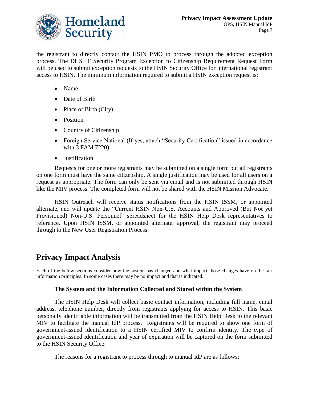

the registrant to directly contact the HSIN PMO to process through the adopted exception process. The DHS IT Security Program Exception to Citizenship Requirement Request Form will be used to submit exception requests to the HSIN Security Office for international registrant access to HSIN. The minimum information required to submit a HSIN exception request is:

- Name
- Date of Birth
- Place of Birth (City)
- Position
- Country of Citizenship
- Foreign Service National (If yes, attach "Security Certification" issued in accordance with 3 FAM 7220)
- Justification

Requests for one or more registrants may be submitted on a single form but all registrants on one form must have the same citizenship. A single justification may be used for all users on a request as appropriate. The form can only be sent via email and is not submitted through HSIN like the MIV process. The completed form will not be shared with the HSIN Mission Advocate.

HSIN Outreach will receive status notifications from the HSIN ISSM, or appointed alternate, and will update the "Current HSIN Non-U.S. Accounts and Approved (But Not yet Provisioned) Non-U.S. Personnel" spreadsheet for the HSIN Help Desk representatives to reference. Upon HSIN ISSM, or appointed alternate, approval, the registrant may proceed through to the New User Registration Process.

# **Privacy Impact Analysis**

Each of the below sections consider how the system has changed and what impact those changes have on the fair information principles. In some cases there may be no impact and that is indicated.

## **The System and the Information Collected and Stored within the System**

The HSIN Help Desk will collect basic contact information, including full name, email address, telephone number, directly from registrants applying for access to HSIN. This basic personally identifiable information will be transmitted from the HSIN Help Desk to the relevant MIV to facilitate the manual IdP process. Registrants will be required to show one form of government-issued identification to a HSIN certified MIV to confirm identity. The type of government-issued identification and year of expiration will be captured on the form submitted to the HSIN Security Office.

The reasons for a registrant to process through to manual IdP are as follows: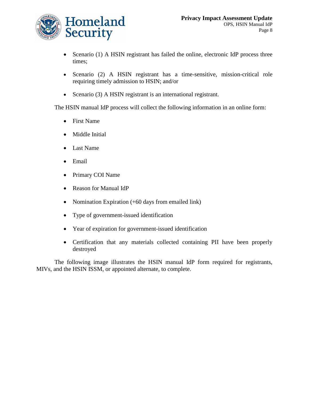

- Scenario (1) A HSIN registrant has failed the online, electronic IdP process three times;
- Scenario (2) A HSIN registrant has a time-sensitive, mission-critical role requiring timely admission to HSIN; and/or
- Scenario (3) A HSIN registrant is an international registrant.

The HSIN manual IdP process will collect the following information in an online form:

- First Name
- Middle Initial
- Last Name
- Email
- Primary COI Name
- Reason for Manual IdP
- Nomination Expiration (+60 days from emailed link)
- Type of government-issued identification
- Year of expiration for government-issued identification
- Certification that any materials collected containing PII have been properly destroyed

The following image illustrates the HSIN manual IdP form required for registrants, MIVs, and the HSIN ISSM, or appointed alternate, to complete.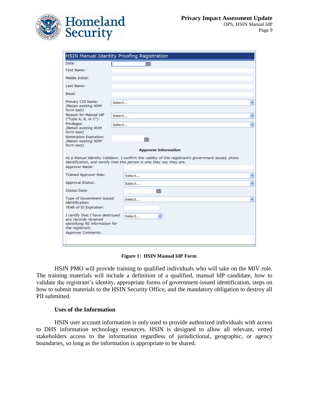

| HSIN Manual Identity Proofing Registration                                 |        |                                                                                                                                                                                |        |
|----------------------------------------------------------------------------|--------|--------------------------------------------------------------------------------------------------------------------------------------------------------------------------------|--------|
| Date:                                                                      |        | <b>CRI</b>                                                                                                                                                                     |        |
| <b>First Name:</b>                                                         |        |                                                                                                                                                                                |        |
| Middle Initial:                                                            |        |                                                                                                                                                                                |        |
| Last Name:                                                                 |        |                                                                                                                                                                                |        |
| Email:                                                                     |        |                                                                                                                                                                                |        |
| Primary COI Name:<br>(Retain existing NOM                                  | Select |                                                                                                                                                                                |        |
| form text)<br>Reason for Manual IdP                                        | Select |                                                                                                                                                                                |        |
| ("Type A, B, or C"):                                                       |        |                                                                                                                                                                                |        |
| Privileges:<br>(Retain existing NOM<br>form text)                          | Select |                                                                                                                                                                                |        |
|                                                                            |        |                                                                                                                                                                                |        |
| Nomination Expiration:<br>(Retain existing NOM                             |        |                                                                                                                                                                                |        |
| form text)                                                                 |        | <b>Approver Information</b>                                                                                                                                                    |        |
| Approver Name:                                                             |        | As a Manual Identity Validator, I confirm the validity of this registrant's government issued, photo<br>identification, and certify that this person is who they say they are. |        |
| <b>Trained Approver Role:</b>                                              |        | Select                                                                                                                                                                         |        |
| <b>Approval Status:</b>                                                    |        | Select                                                                                                                                                                         |        |
| <b>Status Date:</b>                                                        |        | 画                                                                                                                                                                              |        |
| <b>Type of Government-issued</b>                                           |        | Select                                                                                                                                                                         |        |
| identification:<br>YEAR of ID Expiration:                                  |        |                                                                                                                                                                                |        |
| I certify that I have destroyed                                            |        | Select                                                                                                                                                                         |        |
| any records received<br>identifying PII information for<br>the registrant. |        |                                                                                                                                                                                | v<br>v |

**Figure 1: HSIN Manual IdP Form**

HSIN PMO will provide training to qualified individuals who will take on the MIV role. The training materials will include a definition of a qualified, manual IdP candidate, how to validate the registrant's identity, appropriate forms of government-issued identification, steps on how to submit materials to the HSIN Security Office, and the mandatory obligation to destroy all PII submitted.

#### **Uses of the Information**

HSIN user account information is only used to provide authorized individuals with access to DHS information technology resources. HSIN is designed to allow all relevant, vetted stakeholders access to the information regardless of jurisdictional, geographic, or agency boundaries, so long as the information is appropriate to be shared.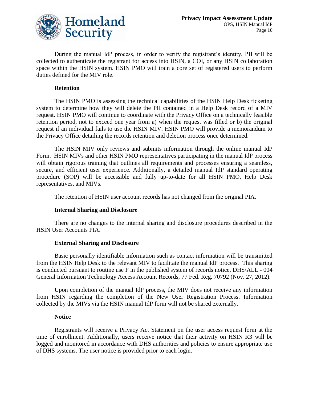

During the manual IdP process, in order to verify the registrant's identity, PII will be collected to authenticate the registrant for access into HSIN, a COI, or any HSIN collaboration space within the HSIN system. HSIN PMO will train a core set of registered users to perform duties defined for the MIV role.

### **Retention**

The HSIN PMO is assessing the technical capabilities of the HSIN Help Desk ticketing system to determine how they will delete the PII contained in a Help Desk record of a MIV request. HSIN PMO will continue to coordinate with the Privacy Office on a technically feasible retention period, not to exceed one year from a) when the request was filled or b) the original request if an individual fails to use the HSIN MIV. HSIN PMO will provide a memorandum to the Privacy Office detailing the records retention and deletion process once determined.

The HSIN MIV only reviews and submits information through the online manual IdP Form. HSIN MIVs and other HSIN PMO representatives participating in the manual IdP process will obtain rigorous training that outlines all requirements and processes ensuring a seamless, secure, and efficient user experience. Additionally, a detailed manual IdP standard operating procedure (SOP) will be accessible and fully up-to-date for all HSIN PMO, Help Desk representatives, and MIVs.

The retention of HSIN user account records has not changed from the original PIA.

## **Internal Sharing and Disclosure**

There are no changes to the internal sharing and disclosure procedures described in the HSIN User Accounts PIA.

## **External Sharing and Disclosure**

Basic personally identifiable information such as contact information will be transmitted from the HSIN Help Desk to the relevant MIV to facilitate the manual IdP process. This sharing is conducted pursuant to routine use F in the published system of records notice, DHS/ALL - 004 General Information Technology Access Account Records, 77 Fed. Reg. 70792 (Nov. 27, 2012).

Upon completion of the manual IdP process, the MIV does not receive any information from HSIN regarding the completion of the New User Registration Process. Information collected by the MIVs via the HSIN manual IdP form will not be shared externally.

## **Notice**

Registrants will receive a Privacy Act Statement on the user access request form at the time of enrollment. Additionally, users receive notice that their activity on HSIN R3 will be logged and monitored in accordance with DHS authorities and policies to ensure appropriate use of DHS systems. The user notice is provided prior to each login.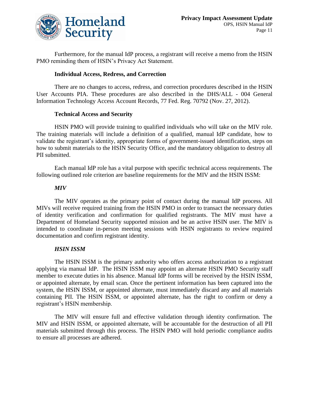

Furthermore, for the manual IdP process, a registrant will receive a memo from the HSIN PMO reminding them of HSIN's Privacy Act Statement.

## **Individual Access, Redress, and Correction**

There are no changes to access, redress, and correction procedures described in the HSIN User Accounts PIA. These procedures are also described in the DHS/ALL - 004 General Information Technology Access Account Records, 77 Fed. Reg. 70792 (Nov. 27, 2012).

## **Technical Access and Security**

HSIN PMO will provide training to qualified individuals who will take on the MIV role. The training materials will include a definition of a qualified, manual IdP candidate, how to validate the registrant's identity, appropriate forms of government-issued identification, steps on how to submit materials to the HSIN Security Office, and the mandatory obligation to destroy all PII submitted.

Each manual IdP role has a vital purpose with specific technical access requirements. The following outlined role criterion are baseline requirements for the MIV and the HSIN ISSM:

## *MIV*

The MIV operates as the primary point of contact during the manual IdP process. All MIVs will receive required training from the HSIN PMO in order to transact the necessary duties of identity verification and confirmation for qualified registrants. The MIV must have a Department of Homeland Security supported mission and be an active HSIN user. The MIV is intended to coordinate in-person meeting sessions with HSIN registrants to review required documentation and confirm registrant identity.

## *HSIN ISSM*

The HSIN ISSM is the primary authority who offers access authorization to a registrant applying via manual IdP. The HSIN ISSM may appoint an alternate HSIN PMO Security staff member to execute duties in his absence. Manual IdP forms will be received by the HSIN ISSM, or appointed alternate, by email scan. Once the pertinent information has been captured into the system, the HSIN ISSM, or appointed alternate, must immediately discard any and all materials containing PII. The HSIN ISSM, or appointed alternate, has the right to confirm or deny a registrant's HSIN membership.

The MIV will ensure full and effective validation through identity confirmation. The MIV and HSIN ISSM, or appointed alternate, will be accountable for the destruction of all PII materials submitted through this process. The HSIN PMO will hold periodic compliance audits to ensure all processes are adhered.